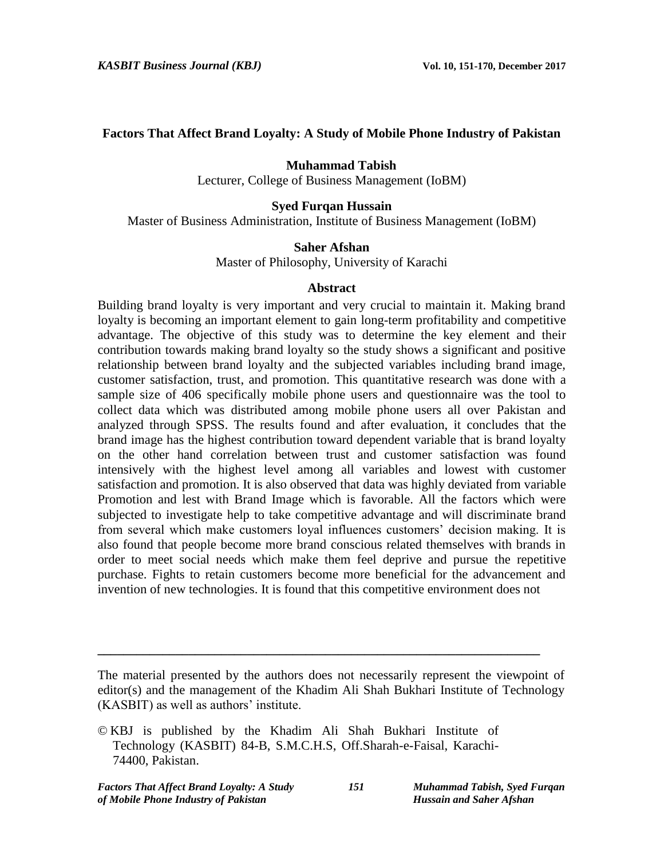## **Factors That Affect Brand Loyalty: A Study of Mobile Phone Industry of Pakistan**

## **Muhammad Tabish**

Lecturer, College of Business Management (IoBM)

## **Syed Furqan Hussain**

Master of Business Administration, Institute of Business Management (IoBM)

## **Saher Afshan**

Master of Philosophy, University of Karachi

## **Abstract**

Building brand loyalty is very important and very crucial to maintain it. Making brand loyalty is becoming an important element to gain long-term profitability and competitive advantage. The objective of this study was to determine the key element and their contribution towards making brand loyalty so the study shows a significant and positive relationship between brand loyalty and the subjected variables including brand image, customer satisfaction, trust, and promotion. This quantitative research was done with a sample size of 406 specifically mobile phone users and questionnaire was the tool to collect data which was distributed among mobile phone users all over Pakistan and analyzed through SPSS. The results found and after evaluation, it concludes that the brand image has the highest contribution toward dependent variable that is brand loyalty on the other hand correlation between trust and customer satisfaction was found intensively with the highest level among all variables and lowest with customer satisfaction and promotion. It is also observed that data was highly deviated from variable Promotion and lest with Brand Image which is favorable. All the factors which were subjected to investigate help to take competitive advantage and will discriminate brand from several which make customers loyal influences customers' decision making. It is also found that people become more brand conscious related themselves with brands in order to meet social needs which make them feel deprive and pursue the repetitive purchase. Fights to retain customers become more beneficial for the advancement and invention of new technologies. It is found that this competitive environment does not

**\_\_\_\_\_\_\_\_\_\_\_\_\_\_\_\_\_\_\_\_\_\_\_\_\_\_\_\_\_\_\_\_\_\_\_\_\_\_\_\_\_\_\_\_\_\_\_\_\_\_\_\_\_\_\_\_\_\_\_\_\_\_\_\_\_\_\_\_**

The material presented by the authors does not necessarily represent the viewpoint of editor(s) and the management of the Khadim Ali Shah Bukhari Institute of Technology (KASBIT) as well as authors' institute.

<sup>©</sup> KBJ is published by the Khadim Ali Shah Bukhari Institute of Technology (KASBIT) 84-B, S.M.C.H.S, Off.Sharah-e-Faisal, Karachi-74400, Pakistan.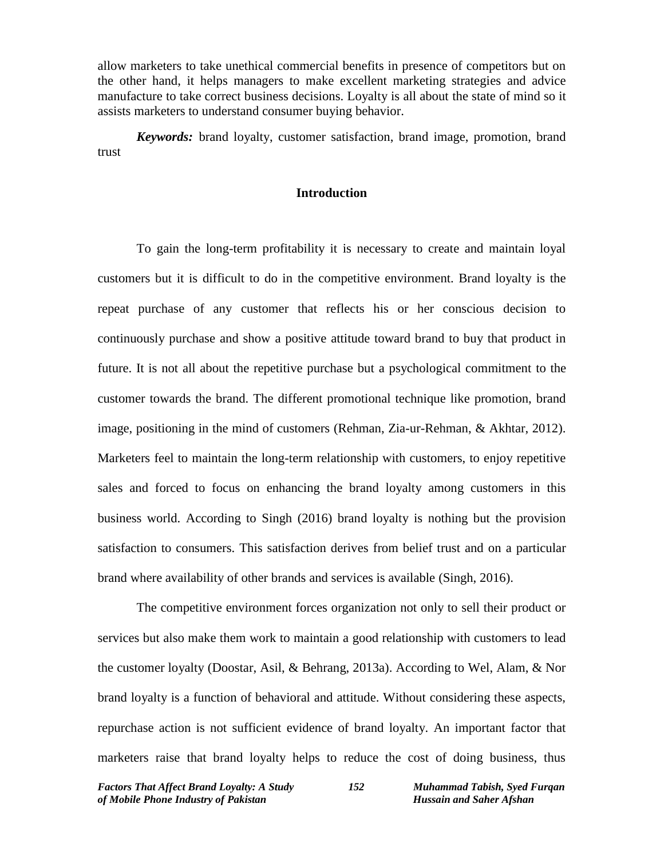allow marketers to take unethical commercial benefits in presence of competitors but on the other hand, it helps managers to make excellent marketing strategies and advice manufacture to take correct business decisions. Loyalty is all about the state of mind so it assists marketers to understand consumer buying behavior.

*Keywords:* brand loyalty, customer satisfaction, brand image, promotion, brand trust

## **Introduction**

To gain the long-term profitability it is necessary to create and maintain loyal customers but it is difficult to do in the competitive environment. Brand loyalty is the repeat purchase of any customer that reflects his or her conscious decision to continuously purchase and show a positive attitude toward brand to buy that product in future. It is not all about the repetitive purchase but a psychological commitment to the customer towards the brand. The different promotional technique like promotion, brand image, positioning in the mind of customers (Rehman, Zia-ur-Rehman, & Akhtar, 2012). Marketers feel to maintain the long-term relationship with customers, to enjoy repetitive sales and forced to focus on enhancing the brand loyalty among customers in this business world. According to Singh (2016) brand loyalty is nothing but the provision satisfaction to consumers. This satisfaction derives from belief trust and on a particular brand where availability of other brands and services is available (Singh, 2016).

The competitive environment forces organization not only to sell their product or services but also make them work to maintain a good relationship with customers to lead the customer loyalty (Doostar, Asil, & Behrang, 2013a). According to Wel, Alam, & Nor brand loyalty is a function of behavioral and attitude. Without considering these aspects, repurchase action is not sufficient evidence of brand loyalty. An important factor that marketers raise that brand loyalty helps to reduce the cost of doing business, thus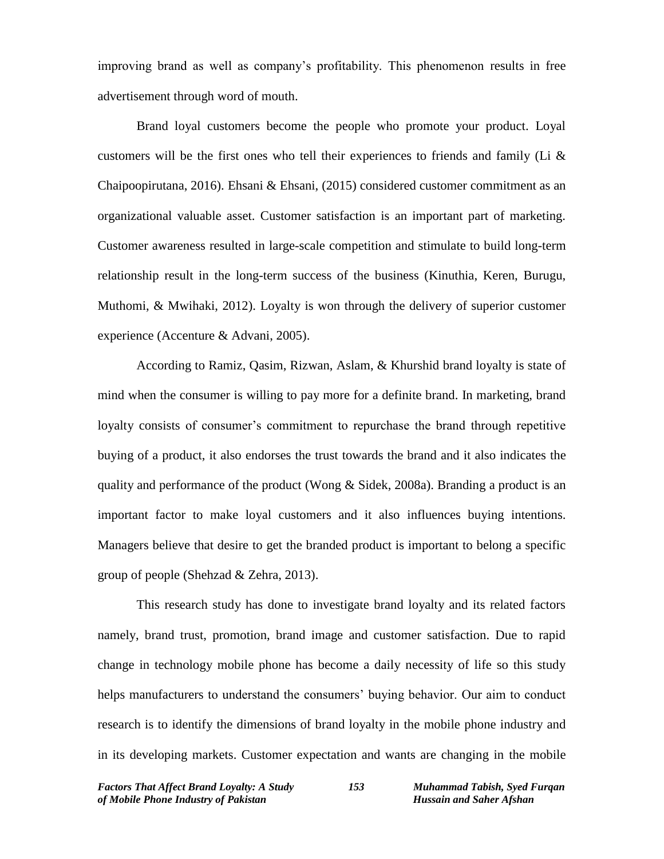improving brand as well as company's profitability. This phenomenon results in free advertisement through word of mouth.

Brand loyal customers become the people who promote your product. Loyal customers will be the first ones who tell their experiences to friends and family (Li & Chaipoopirutana, 2016). Ehsani & Ehsani, (2015) considered customer commitment as an organizational valuable asset. Customer satisfaction is an important part of marketing. Customer awareness resulted in large-scale competition and stimulate to build long-term relationship result in the long-term success of the business (Kinuthia, Keren, Burugu, Muthomi, & Mwihaki, 2012). Loyalty is won through the delivery of superior customer experience (Accenture & Advani, 2005).

According to Ramiz, Qasim, Rizwan, Aslam, & Khurshid brand loyalty is state of mind when the consumer is willing to pay more for a definite brand. In marketing, brand loyalty consists of consumer's commitment to repurchase the brand through repetitive buying of a product, it also endorses the trust towards the brand and it also indicates the quality and performance of the product (Wong & Sidek, 2008a). Branding a product is an important factor to make loyal customers and it also influences buying intentions. Managers believe that desire to get the branded product is important to belong a specific group of people (Shehzad & Zehra, 2013).

This research study has done to investigate brand loyalty and its related factors namely, brand trust, promotion, brand image and customer satisfaction. Due to rapid change in technology mobile phone has become a daily necessity of life so this study helps manufacturers to understand the consumers' buying behavior. Our aim to conduct research is to identify the dimensions of brand loyalty in the mobile phone industry and in its developing markets. Customer expectation and wants are changing in the mobile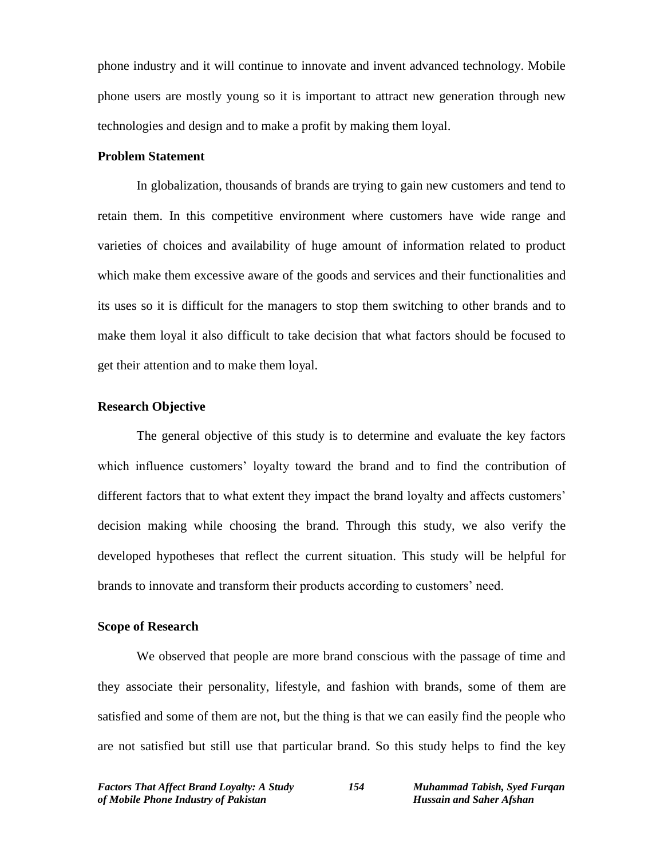phone industry and it will continue to innovate and invent advanced technology. Mobile phone users are mostly young so it is important to attract new generation through new technologies and design and to make a profit by making them loyal.

## **Problem Statement**

In globalization, thousands of brands are trying to gain new customers and tend to retain them. In this competitive environment where customers have wide range and varieties of choices and availability of huge amount of information related to product which make them excessive aware of the goods and services and their functionalities and its uses so it is difficult for the managers to stop them switching to other brands and to make them loyal it also difficult to take decision that what factors should be focused to get their attention and to make them loyal.

## **Research Objective**

The general objective of this study is to determine and evaluate the key factors which influence customers' loyalty toward the brand and to find the contribution of different factors that to what extent they impact the brand loyalty and affects customers' decision making while choosing the brand. Through this study, we also verify the developed hypotheses that reflect the current situation. This study will be helpful for brands to innovate and transform their products according to customers' need.

## **Scope of Research**

We observed that people are more brand conscious with the passage of time and they associate their personality, lifestyle, and fashion with brands, some of them are satisfied and some of them are not, but the thing is that we can easily find the people who are not satisfied but still use that particular brand. So this study helps to find the key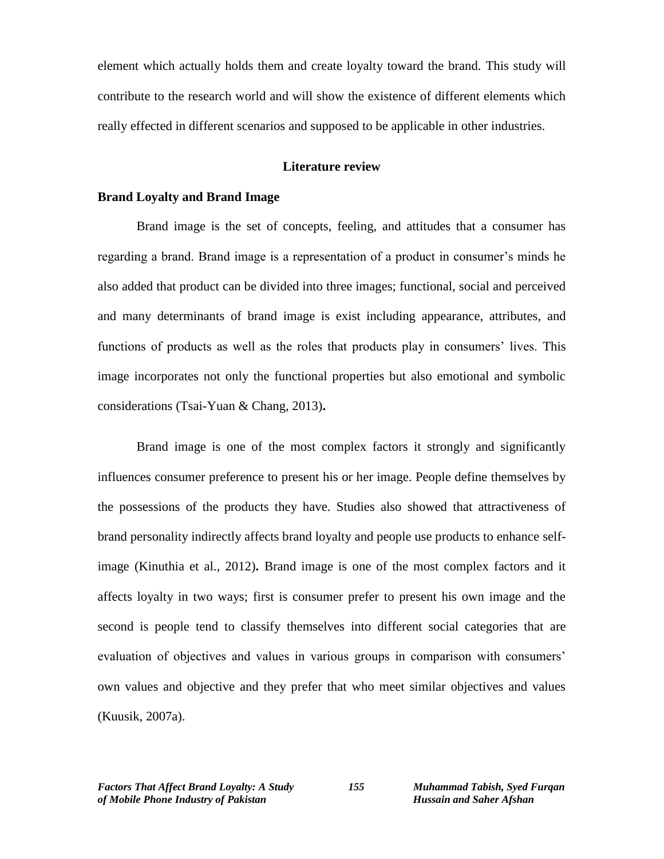element which actually holds them and create loyalty toward the brand. This study will contribute to the research world and will show the existence of different elements which really effected in different scenarios and supposed to be applicable in other industries.

## **Literature review**

## **Brand Loyalty and Brand Image**

Brand image is the set of concepts, feeling, and attitudes that a consumer has regarding a brand. Brand image is a representation of a product in consumer's minds he also added that product can be divided into three images; functional, social and perceived and many determinants of brand image is exist including appearance, attributes, and functions of products as well as the roles that products play in consumers' lives. This image incorporates not only the functional properties but also emotional and symbolic considerations (Tsai-Yuan & Chang, 2013)**.** 

Brand image is one of the most complex factors it strongly and significantly influences consumer preference to present his or her image. People define themselves by the possessions of the products they have. Studies also showed that attractiveness of brand personality indirectly affects brand loyalty and people use products to enhance selfimage (Kinuthia et al., 2012)**.** Brand image is one of the most complex factors and it affects loyalty in two ways; first is consumer prefer to present his own image and the second is people tend to classify themselves into different social categories that are evaluation of objectives and values in various groups in comparison with consumers' own values and objective and they prefer that who meet similar objectives and values (Kuusik, 2007a).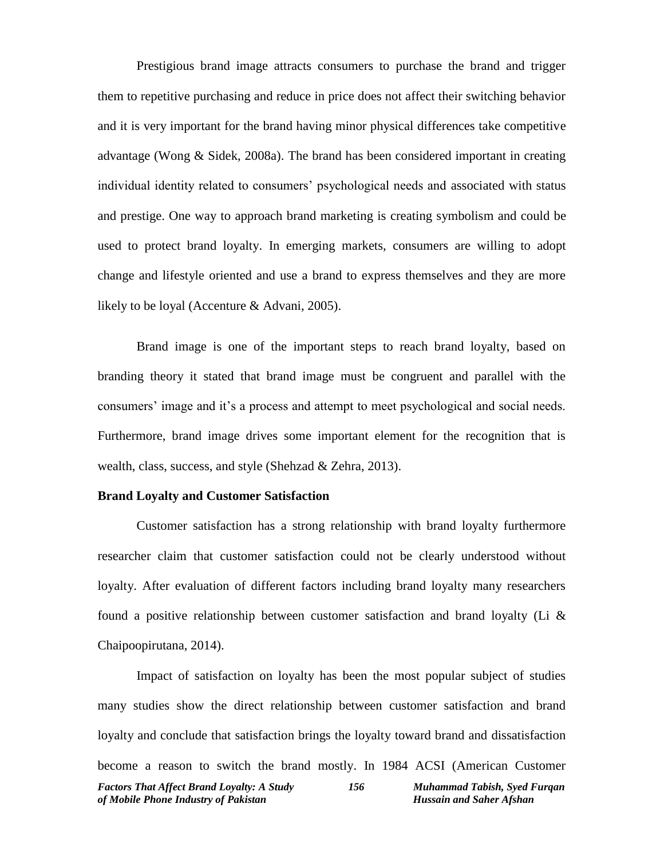Prestigious brand image attracts consumers to purchase the brand and trigger them to repetitive purchasing and reduce in price does not affect their switching behavior and it is very important for the brand having minor physical differences take competitive advantage (Wong & Sidek, 2008a). The brand has been considered important in creating individual identity related to consumers' psychological needs and associated with status and prestige. One way to approach brand marketing is creating symbolism and could be used to protect brand loyalty. In emerging markets, consumers are willing to adopt change and lifestyle oriented and use a brand to express themselves and they are more likely to be loyal (Accenture & Advani, 2005).

Brand image is one of the important steps to reach brand loyalty, based on branding theory it stated that brand image must be congruent and parallel with the consumers' image and it's a process and attempt to meet psychological and social needs. Furthermore, brand image drives some important element for the recognition that is wealth, class, success, and style (Shehzad & Zehra, 2013).

#### **Brand Loyalty and Customer Satisfaction**

Customer satisfaction has a strong relationship with brand loyalty furthermore researcher claim that customer satisfaction could not be clearly understood without loyalty. After evaluation of different factors including brand loyalty many researchers found a positive relationship between customer satisfaction and brand loyalty (Li  $\&$ Chaipoopirutana, 2014).

*Factors That Affect Brand Loyalty: A Study 156 Muhammad Tabish, Syed Furqan of Mobile Phone Industry of Pakistan* Hussain and Saher Afshan Impact of satisfaction on loyalty has been the most popular subject of studies many studies show the direct relationship between customer satisfaction and brand loyalty and conclude that satisfaction brings the loyalty toward brand and dissatisfaction become a reason to switch the brand mostly. In 1984 ACSI (American Customer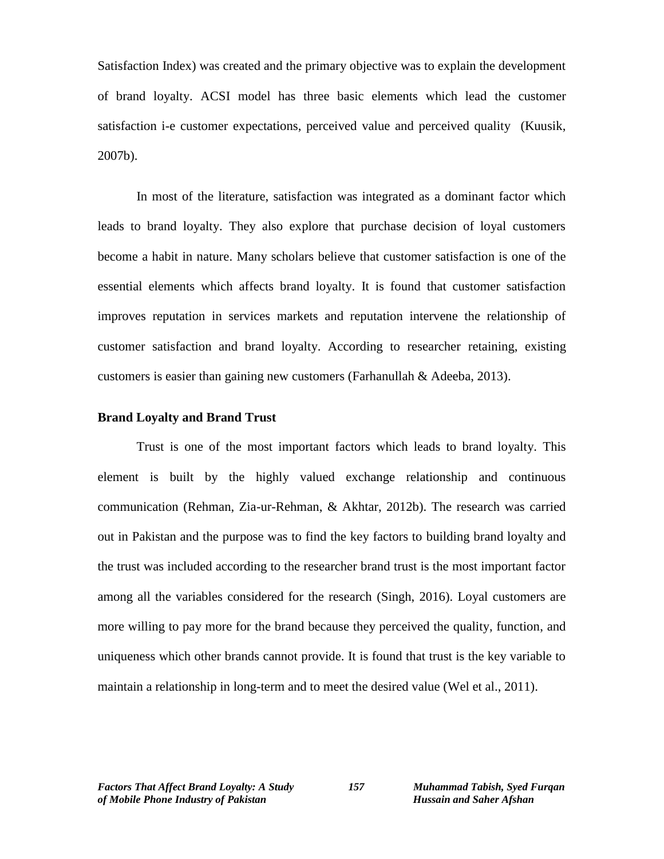Satisfaction Index) was created and the primary objective was to explain the development of brand loyalty. ACSI model has three basic elements which lead the customer satisfaction i-e customer expectations, perceived value and perceived quality (Kuusik, 2007b).

In most of the literature, satisfaction was integrated as a dominant factor which leads to brand loyalty. They also explore that purchase decision of loyal customers become a habit in nature. Many scholars believe that customer satisfaction is one of the essential elements which affects brand loyalty. It is found that customer satisfaction improves reputation in services markets and reputation intervene the relationship of customer satisfaction and brand loyalty. According to researcher retaining, existing customers is easier than gaining new customers (Farhanullah & Adeeba, 2013).

## **Brand Loyalty and Brand Trust**

Trust is one of the most important factors which leads to brand loyalty. This element is built by the highly valued exchange relationship and continuous communication (Rehman, Zia-ur-Rehman, & Akhtar, 2012b). The research was carried out in Pakistan and the purpose was to find the key factors to building brand loyalty and the trust was included according to the researcher brand trust is the most important factor among all the variables considered for the research (Singh, 2016). Loyal customers are more willing to pay more for the brand because they perceived the quality, function, and uniqueness which other brands cannot provide. It is found that trust is the key variable to maintain a relationship in long-term and to meet the desired value (Wel et al., 2011).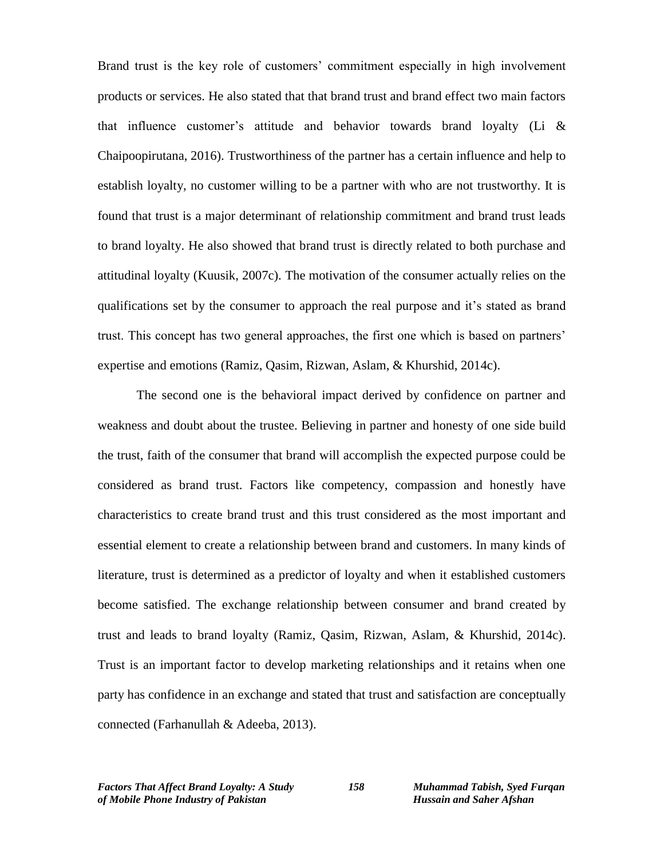Brand trust is the key role of customers' commitment especially in high involvement products or services. He also stated that that brand trust and brand effect two main factors that influence customer's attitude and behavior towards brand loyalty (Li & Chaipoopirutana, 2016). Trustworthiness of the partner has a certain influence and help to establish loyalty, no customer willing to be a partner with who are not trustworthy. It is found that trust is a major determinant of relationship commitment and brand trust leads to brand loyalty. He also showed that brand trust is directly related to both purchase and attitudinal loyalty (Kuusik, 2007c). The motivation of the consumer actually relies on the qualifications set by the consumer to approach the real purpose and it's stated as brand trust. This concept has two general approaches, the first one which is based on partners' expertise and emotions (Ramiz, Qasim, Rizwan, Aslam, & Khurshid, 2014c).

The second one is the behavioral impact derived by confidence on partner and weakness and doubt about the trustee. Believing in partner and honesty of one side build the trust, faith of the consumer that brand will accomplish the expected purpose could be considered as brand trust. Factors like competency, compassion and honestly have characteristics to create brand trust and this trust considered as the most important and essential element to create a relationship between brand and customers. In many kinds of literature, trust is determined as a predictor of loyalty and when it established customers become satisfied. The exchange relationship between consumer and brand created by trust and leads to brand loyalty (Ramiz, Qasim, Rizwan, Aslam, & Khurshid, 2014c). Trust is an important factor to develop marketing relationships and it retains when one party has confidence in an exchange and stated that trust and satisfaction are conceptually connected (Farhanullah & Adeeba, 2013).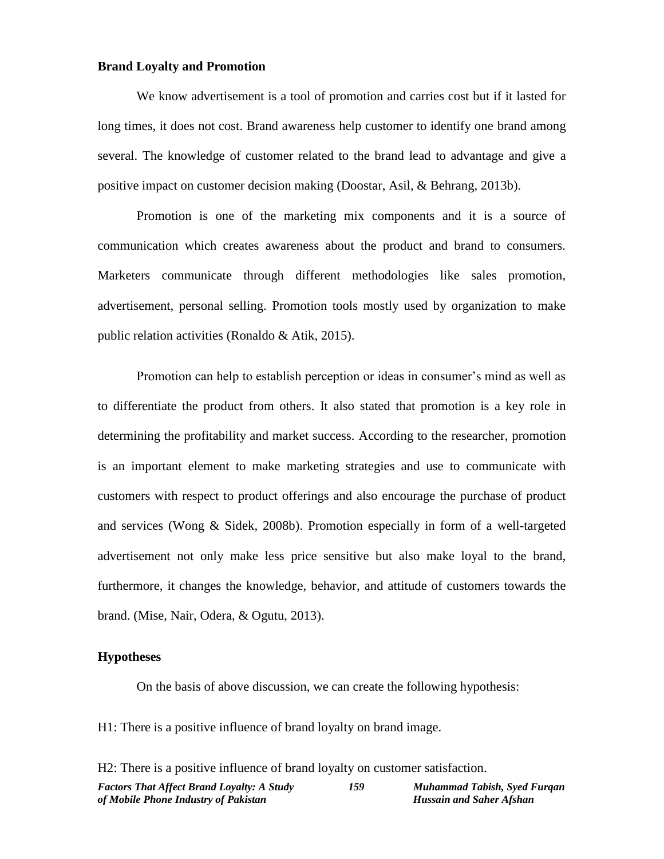#### **Brand Loyalty and Promotion**

We know advertisement is a tool of promotion and carries cost but if it lasted for long times, it does not cost. Brand awareness help customer to identify one brand among several. The knowledge of customer related to the brand lead to advantage and give a positive impact on customer decision making (Doostar, Asil, & Behrang, 2013b).

Promotion is one of the marketing mix components and it is a source of communication which creates awareness about the product and brand to consumers. Marketers communicate through different methodologies like sales promotion, advertisement, personal selling. Promotion tools mostly used by organization to make public relation activities (Ronaldo & Atik, 2015).

Promotion can help to establish perception or ideas in consumer's mind as well as to differentiate the product from others. It also stated that promotion is a key role in determining the profitability and market success. According to the researcher, promotion is an important element to make marketing strategies and use to communicate with customers with respect to product offerings and also encourage the purchase of product and services (Wong & Sidek, 2008b). Promotion especially in form of a well-targeted advertisement not only make less price sensitive but also make loyal to the brand, furthermore, it changes the knowledge, behavior, and attitude of customers towards the brand. (Mise, Nair, Odera, & Ogutu, 2013).

## **Hypotheses**

On the basis of above discussion, we can create the following hypothesis:

H1: There is a positive influence of brand loyalty on brand image.

| H2: There is a positive influence of brand loyalty on customer satisfaction. |     |                                 |  |  |  |  |  |
|------------------------------------------------------------------------------|-----|---------------------------------|--|--|--|--|--|
| <b>Factors That Affect Brand Loyalty: A Study</b>                            | 159 | Muhammad Tabish, Syed Furgan    |  |  |  |  |  |
| of Mobile Phone Industry of Pakistan                                         |     | <b>Hussain and Saher Afshan</b> |  |  |  |  |  |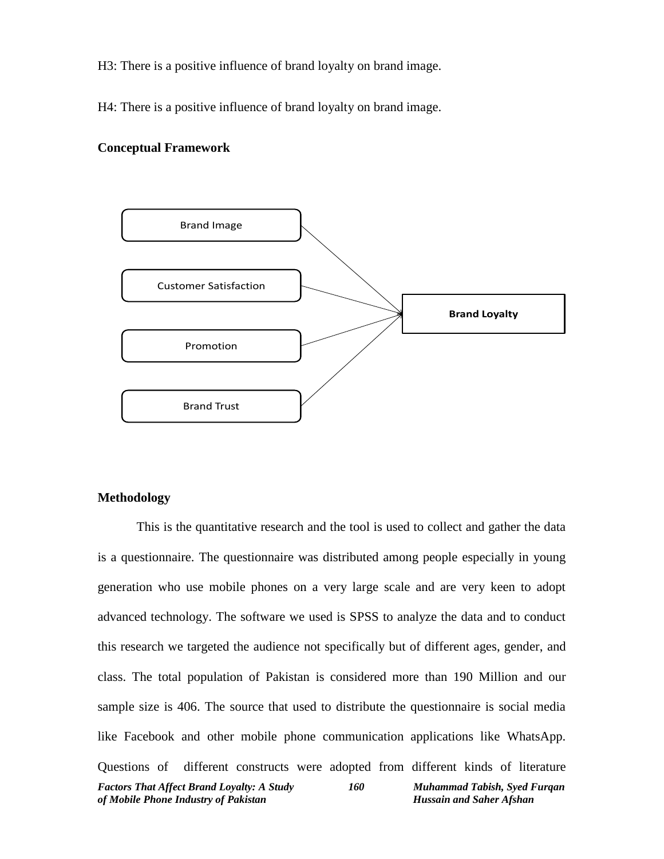H3: There is a positive influence of brand loyalty on brand image.

H4: There is a positive influence of brand loyalty on brand image.

#### **Conceptual Framework**



## **Methodology**

*Factors That Affect Brand Loyalty: A Study 160 Muhammad Tabish, Syed Furqan of Mobile Phone Industry of Pakistan Hussain and Saher Afshan* This is the quantitative research and the tool is used to collect and gather the data is a questionnaire. The questionnaire was distributed among people especially in young generation who use mobile phones on a very large scale and are very keen to adopt advanced technology. The software we used is SPSS to analyze the data and to conduct this research we targeted the audience not specifically but of different ages, gender, and class. The total population of Pakistan is considered more than 190 Million and our sample size is 406. The source that used to distribute the questionnaire is social media like Facebook and other mobile phone communication applications like WhatsApp. Questions of different constructs were adopted from different kinds of literature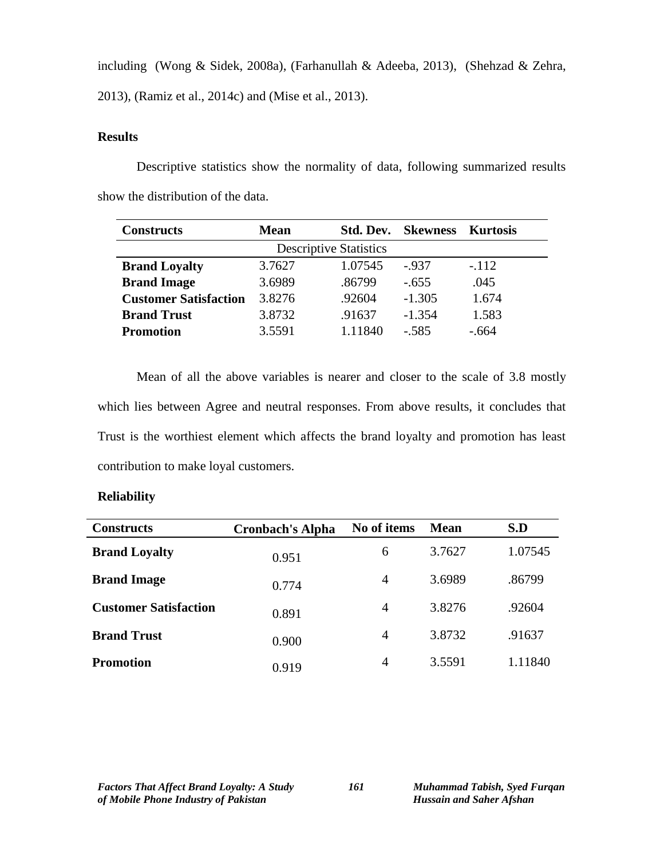including (Wong & Sidek, 2008a), (Farhanullah & Adeeba, 2013), (Shehzad & Zehra,

2013), (Ramiz et al., 2014c) and (Mise et al., 2013).

# **Results**

Descriptive statistics show the normality of data, following summarized results show the distribution of the data.

| <b>Constructs</b>            | <b>Mean</b>                   | <b>Skewness</b><br>Std. Dev. |          | Kurtosis |
|------------------------------|-------------------------------|------------------------------|----------|----------|
|                              | <b>Descriptive Statistics</b> |                              |          |          |
| <b>Brand Loyalty</b>         | 3.7627                        | 1.07545                      | $-.937$  | $-.112$  |
| <b>Brand Image</b>           | 3.6989                        | .86799                       | $-.655$  | .045     |
| <b>Customer Satisfaction</b> | 3.8276                        | .92604                       | $-1.305$ | 1.674    |
| <b>Brand Trust</b>           | 3.8732                        | .91637                       | $-1.354$ | 1.583    |
| <b>Promotion</b>             | 3.5591                        | 1.11840                      | $-.585$  | $-.664$  |

Mean of all the above variables is nearer and closer to the scale of 3.8 mostly which lies between Agree and neutral responses. From above results, it concludes that Trust is the worthiest element which affects the brand loyalty and promotion has least contribution to make loyal customers.

# **Reliability**

| <b>Constructs</b>            | <b>Cronbach's Alpha</b> | No of items    | Mean   | S.D     |
|------------------------------|-------------------------|----------------|--------|---------|
| <b>Brand Loyalty</b>         | 0.951                   | 6              | 3.7627 | 1.07545 |
| <b>Brand Image</b>           | 0.774                   | $\overline{4}$ | 3.6989 | .86799  |
| <b>Customer Satisfaction</b> | 0.891                   | $\overline{4}$ | 3.8276 | .92604  |
| <b>Brand Trust</b>           | 0.900                   | 4              | 3.8732 | .91637  |
| Promotion                    | 0.919                   | 4              | 3.5591 | 1.11840 |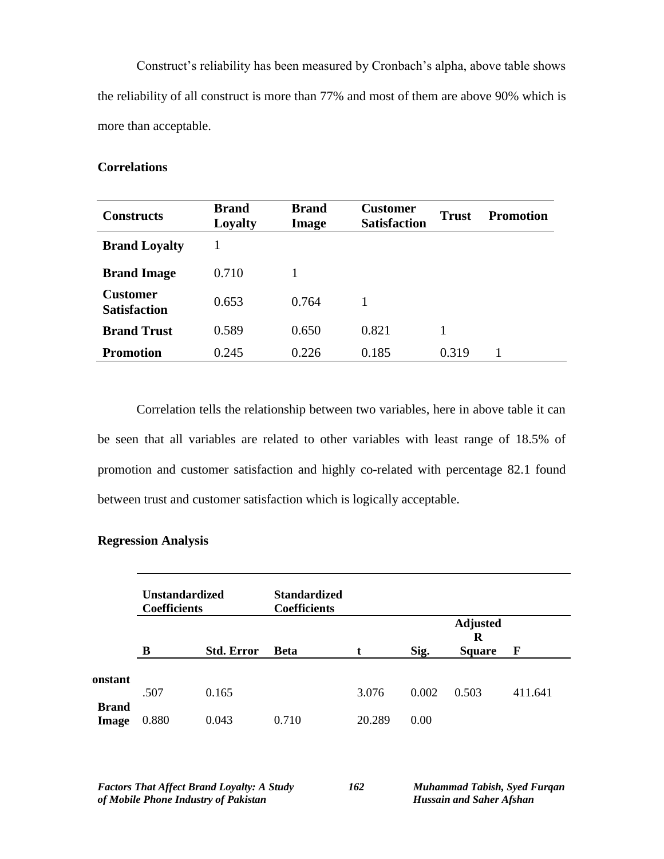Construct's reliability has been measured by Cronbach's alpha, above table shows the reliability of all construct is more than 77% and most of them are above 90% which is more than acceptable.

## **Correlations**

| <b>Constructs</b>                      | <b>Brand</b><br>Loyalty | <b>Brand</b><br>Image | <b>Customer</b><br><b>Satisfaction</b> | <b>Trust</b> | <b>Promotion</b> |
|----------------------------------------|-------------------------|-----------------------|----------------------------------------|--------------|------------------|
| <b>Brand Loyalty</b>                   |                         |                       |                                        |              |                  |
| <b>Brand Image</b>                     | 0.710                   |                       |                                        |              |                  |
| <b>Customer</b><br><b>Satisfaction</b> | 0.653                   | 0.764                 | 1                                      |              |                  |
| <b>Brand Trust</b>                     | 0.589                   | 0.650                 | 0.821                                  | 1            |                  |
| Promotion                              | 0.245                   | 0.226                 | 0.185                                  | 0.319        |                  |

Correlation tells the relationship between two variables, here in above table it can be seen that all variables are related to other variables with least range of 18.5% of promotion and customer satisfaction and highly co-related with percentage 82.1 found between trust and customer satisfaction which is logically acceptable.

|                              | <b>Unstandardized</b><br><b>Coefficients</b> |                   | <b>Standardized</b><br><b>Coefficients</b> |        |       |                                       |         |
|------------------------------|----------------------------------------------|-------------------|--------------------------------------------|--------|-------|---------------------------------------|---------|
|                              | B                                            | <b>Std. Error</b> | <b>Beta</b>                                |        | Sig.  | <b>Adjusted</b><br>R<br><b>Square</b> | F       |
| onstant                      | .507                                         | 0.165             |                                            | 3.076  | 0.002 | 0.503                                 | 411.641 |
| <b>Brand</b><br><b>Image</b> | 0.880                                        | 0.043             | 0.710                                      | 20.289 | 0.00  |                                       |         |

#### **Regression Analysis**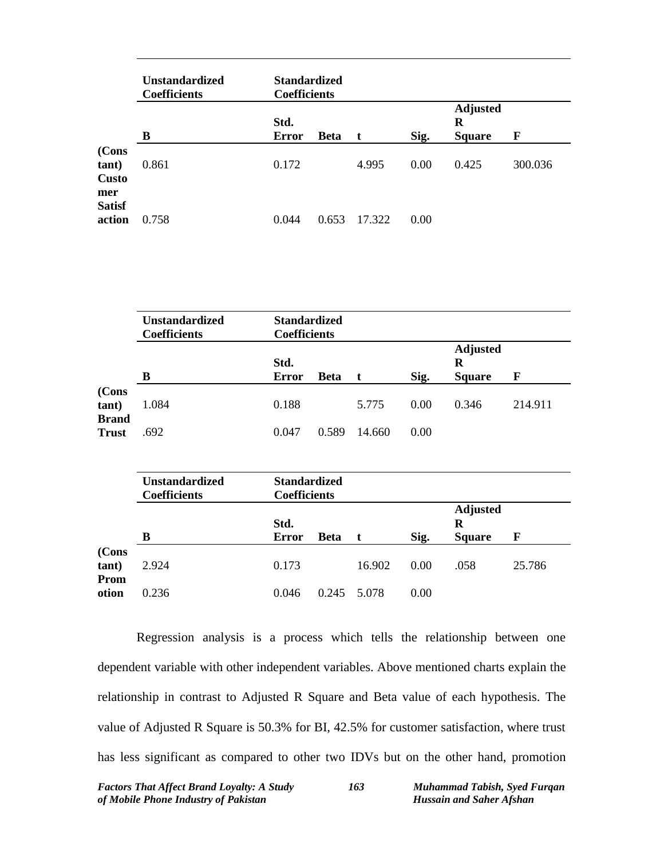|                                       | <b>Unstandardized</b><br><b>Coefficients</b> | <b>Standardized</b><br><b>Coefficients</b> |             |        |      |                                       |         |
|---------------------------------------|----------------------------------------------|--------------------------------------------|-------------|--------|------|---------------------------------------|---------|
|                                       | В                                            | Std.<br><b>Error</b>                       | <b>Beta</b> | t      | Sig. | <b>Adjusted</b><br>R<br><b>Square</b> | F       |
| (Cons<br>tant)<br><b>Custo</b><br>mer | 0.861                                        | 0.172                                      |             | 4.995  | 0.00 | 0.425                                 | 300.036 |
| <b>Satisf</b><br>action               | 0.758                                        | 0.044                                      | 0.653       | 17.322 | 0.00 |                                       |         |

|                                | <b>Unstandardized</b><br><b>Coefficients</b> | <b>Standardized</b><br><b>Coefficients</b> |             |        |      |                                       |         |
|--------------------------------|----------------------------------------------|--------------------------------------------|-------------|--------|------|---------------------------------------|---------|
|                                | в                                            | Std.<br><b>Error</b>                       | <b>Beta</b> |        | Sig. | <b>Adjusted</b><br>R<br><b>Square</b> | F       |
| (Cons<br>tant)<br><b>Brand</b> | 1.084                                        | 0.188                                      |             | 5.775  | 0.00 | 0.346                                 | 214.911 |
| <b>Trust</b>                   | .692                                         | 0.047                                      | 0.589       | 14.660 | 0.00 |                                       |         |

|               | <b>Unstandardized</b><br><b>Coefficients</b> | <b>Standardized</b><br><b>Coefficients</b> |             |             |      |                                       |        |
|---------------|----------------------------------------------|--------------------------------------------|-------------|-------------|------|---------------------------------------|--------|
|               | в                                            | Std.<br><b>Error</b>                       | <b>Beta</b> |             | Sig. | <b>Adjusted</b><br>R<br><b>Square</b> | F      |
| (Cons<br>Prom | 2.924                                        | 0.173                                      |             | 16.902      | 0.00 | .058                                  | 25.786 |
|               | 0.236                                        | 0.046                                      |             | 0.245 5.078 | 0.00 |                                       |        |

Regression analysis is a process which tells the relationship between one dependent variable with other independent variables. Above mentioned charts explain the relationship in contrast to Adjusted R Square and Beta value of each hypothesis. The value of Adjusted R Square is 50.3% for BI, 42.5% for customer satisfaction, where trust has less significant as compared to other two IDVs but on the other hand, promotion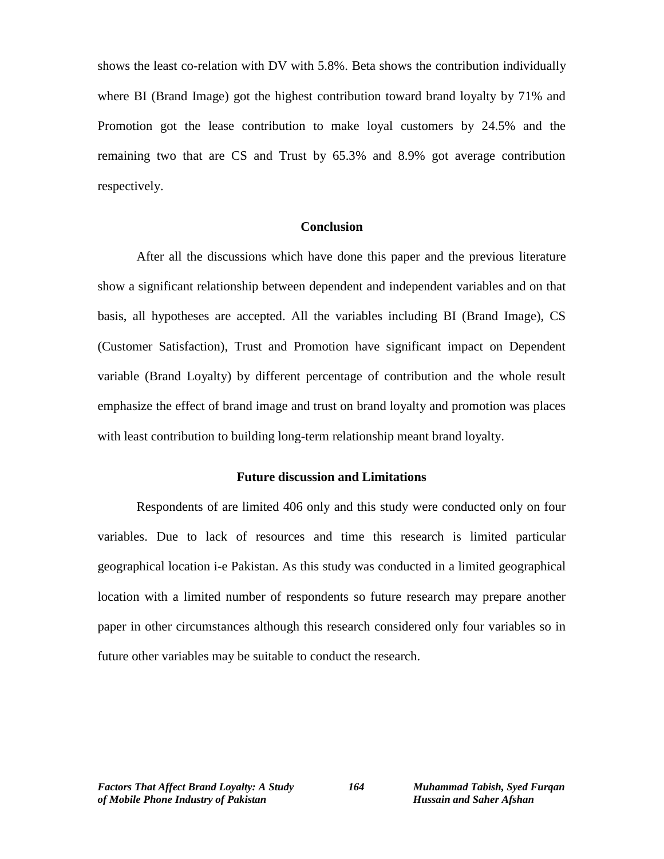shows the least co-relation with DV with 5.8%. Beta shows the contribution individually where BI (Brand Image) got the highest contribution toward brand loyalty by 71% and Promotion got the lease contribution to make loyal customers by 24.5% and the remaining two that are CS and Trust by 65.3% and 8.9% got average contribution respectively.

## **Conclusion**

After all the discussions which have done this paper and the previous literature show a significant relationship between dependent and independent variables and on that basis, all hypotheses are accepted. All the variables including BI (Brand Image), CS (Customer Satisfaction), Trust and Promotion have significant impact on Dependent variable (Brand Loyalty) by different percentage of contribution and the whole result emphasize the effect of brand image and trust on brand loyalty and promotion was places with least contribution to building long-term relationship meant brand loyalty.

## **Future discussion and Limitations**

Respondents of are limited 406 only and this study were conducted only on four variables. Due to lack of resources and time this research is limited particular geographical location i-e Pakistan. As this study was conducted in a limited geographical location with a limited number of respondents so future research may prepare another paper in other circumstances although this research considered only four variables so in future other variables may be suitable to conduct the research.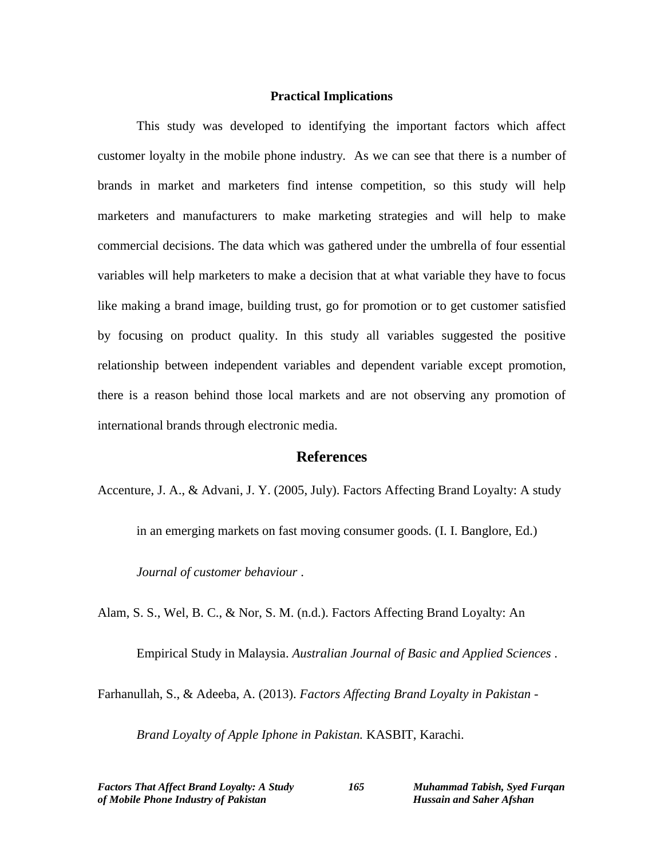#### **Practical Implications**

This study was developed to identifying the important factors which affect customer loyalty in the mobile phone industry. As we can see that there is a number of brands in market and marketers find intense competition, so this study will help marketers and manufacturers to make marketing strategies and will help to make commercial decisions. The data which was gathered under the umbrella of four essential variables will help marketers to make a decision that at what variable they have to focus like making a brand image, building trust, go for promotion or to get customer satisfied by focusing on product quality. In this study all variables suggested the positive relationship between independent variables and dependent variable except promotion, there is a reason behind those local markets and are not observing any promotion of international brands through electronic media.

## **References**

Accenture, J. A., & Advani, J. Y. (2005, July). Factors Affecting Brand Loyalty: A study

in an emerging markets on fast moving consumer goods. (I. I. Banglore, Ed.)

*Journal of customer behaviour* .

Alam, S. S., Wel, B. C., & Nor, S. M. (n.d.). Factors Affecting Brand Loyalty: An

Empirical Study in Malaysia. *Australian Journal of Basic and Applied Sciences* .

Farhanullah, S., & Adeeba, A. (2013). *Factors Affecting Brand Loyalty in Pakistan -*

*Brand Loyalty of Apple Iphone in Pakistan.* KASBIT, Karachi.

*Factors That Affect Brand Loyalty: A Study 165 Muhammad Tabish, Syed Furqan of Mobile Phone Industry of Pakistan Hussain and Saher Afshan*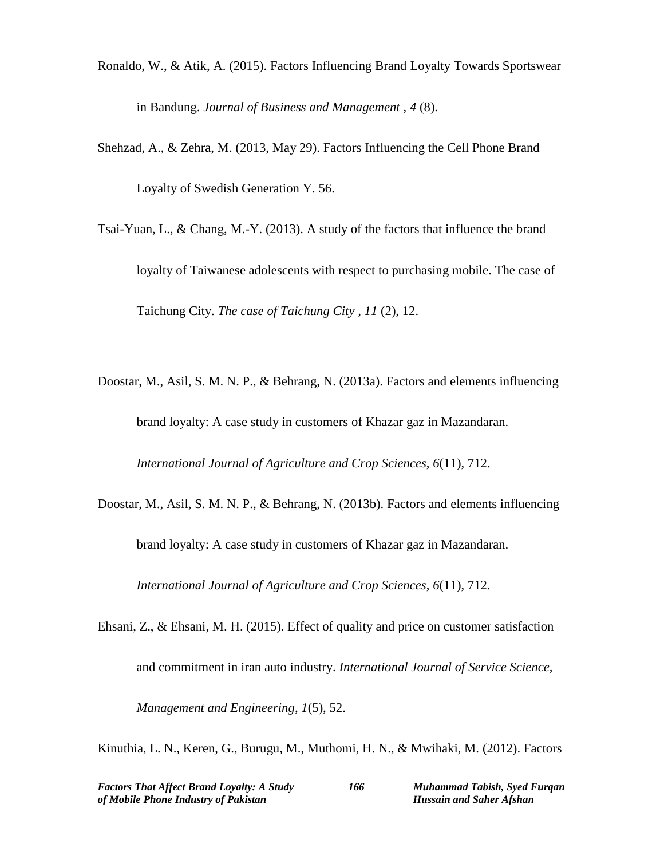- Ronaldo, W., & Atik, A. (2015). Factors Influencing Brand Loyalty Towards Sportswear in Bandung. *Journal of Business and Management , 4* (8).
- Shehzad, A., & Zehra, M. (2013, May 29). Factors Influencing the Cell Phone Brand Loyalty of Swedish Generation Y. 56.
- Tsai-Yuan, L., & Chang, M.-Y. (2013). A study of the factors that influence the brand loyalty of Taiwanese adolescents with respect to purchasing mobile. The case of Taichung City. *The case of Taichung City , 11* (2), 12.
- Doostar, M., Asil, S. M. N. P., & Behrang, N. (2013a). Factors and elements influencing brand loyalty: A case study in customers of Khazar gaz in Mazandaran.

*International Journal of Agriculture and Crop Sciences*, *6*(11), 712.

Doostar, M., Asil, S. M. N. P., & Behrang, N. (2013b). Factors and elements influencing brand loyalty: A case study in customers of Khazar gaz in Mazandaran. *International Journal of Agriculture and Crop Sciences*, *6*(11), 712.

Ehsani, Z., & Ehsani, M. H. (2015). Effect of quality and price on customer satisfaction and commitment in iran auto industry. *International Journal of Service Science, Management and Engineering*, *1*(5), 52.

Kinuthia, L. N., Keren, G., Burugu, M., Muthomi, H. N., & Mwihaki, M. (2012). Factors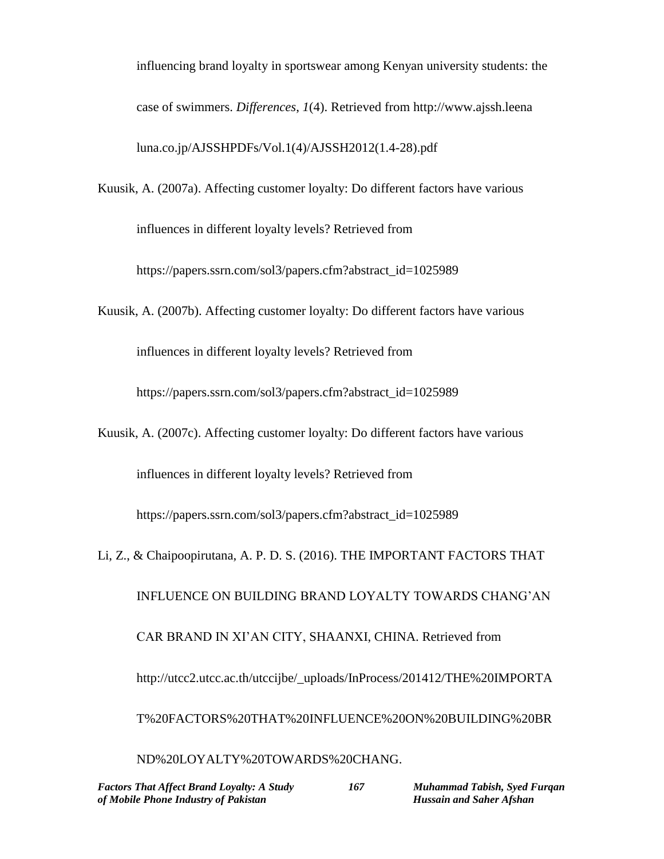influencing brand loyalty in sportswear among Kenyan university students: the case of swimmers. *Differences*, *1*(4). Retrieved from http://www.ajssh.leena luna.co.jp/AJSSHPDFs/Vol.1(4)/AJSSH2012(1.4-28).pdf

Kuusik, A. (2007a). Affecting customer loyalty: Do different factors have various influences in different loyalty levels? Retrieved from

https://papers.ssrn.com/sol3/papers.cfm?abstract\_id=1025989

Kuusik, A. (2007b). Affecting customer loyalty: Do different factors have various

influences in different loyalty levels? Retrieved from

https://papers.ssrn.com/sol3/papers.cfm?abstract\_id=1025989

Kuusik, A. (2007c). Affecting customer loyalty: Do different factors have various influences in different loyalty levels? Retrieved from

https://papers.ssrn.com/sol3/papers.cfm?abstract\_id=1025989

Li, Z., & Chaipoopirutana, A. P. D. S. (2016). THE IMPORTANT FACTORS THAT INFLUENCE ON BUILDING BRAND LOYALTY TOWARDS CHANG'AN CAR BRAND IN XI'AN CITY, SHAANXI, CHINA. Retrieved from http://utcc2.utcc.ac.th/utccijbe/\_uploads/InProcess/201412/THE%20IMPORTA T%20FACTORS%20THAT%20INFLUENCE%20ON%20BUILDING%20BR ND%20LOYALTY%20TOWARDS%20CHANG.

*Factors That Affect Brand Loyalty: A Study 167 Muhammad Tabish, Syed Furqan of Mobile Phone Industry of Pakistan* Hussain and Saher Afshan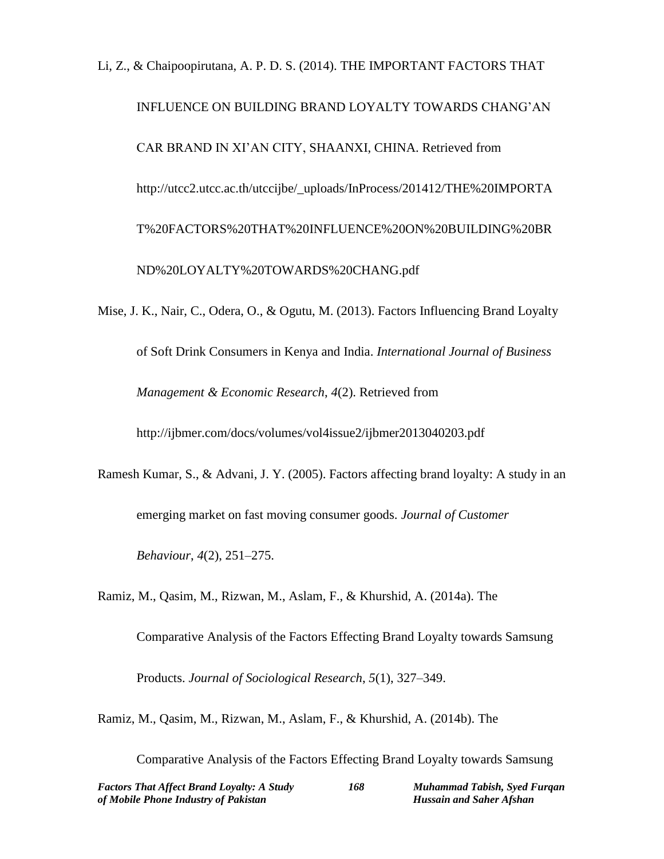# Li, Z., & Chaipoopirutana, A. P. D. S. (2014). THE IMPORTANT FACTORS THAT INFLUENCE ON BUILDING BRAND LOYALTY TOWARDS CHANG'AN CAR BRAND IN XI'AN CITY, SHAANXI, CHINA. Retrieved from http://utcc2.utcc.ac.th/utccijbe/\_uploads/InProcess/201412/THE%20IMPORTA T%20FACTORS%20THAT%20INFLUENCE%20ON%20BUILDING%20BR ND%20LOYALTY%20TOWARDS%20CHANG.pdf

Mise, J. K., Nair, C., Odera, O., & Ogutu, M. (2013). Factors Influencing Brand Loyalty of Soft Drink Consumers in Kenya and India. *International Journal of Business Management & Economic Research*, *4*(2). Retrieved from http://ijbmer.com/docs/volumes/vol4issue2/ijbmer2013040203.pdf

Ramesh Kumar, S., & Advani, J. Y. (2005). Factors affecting brand loyalty: A study in an emerging market on fast moving consumer goods. *Journal of Customer Behaviour*, *4*(2), 251–275.

Ramiz, M., Qasim, M., Rizwan, M., Aslam, F., & Khurshid, A. (2014a). The Comparative Analysis of the Factors Effecting Brand Loyalty towards Samsung Products. *Journal of Sociological Research*, *5*(1), 327–349.

Ramiz, M., Qasim, M., Rizwan, M., Aslam, F., & Khurshid, A. (2014b). The

Comparative Analysis of the Factors Effecting Brand Loyalty towards Samsung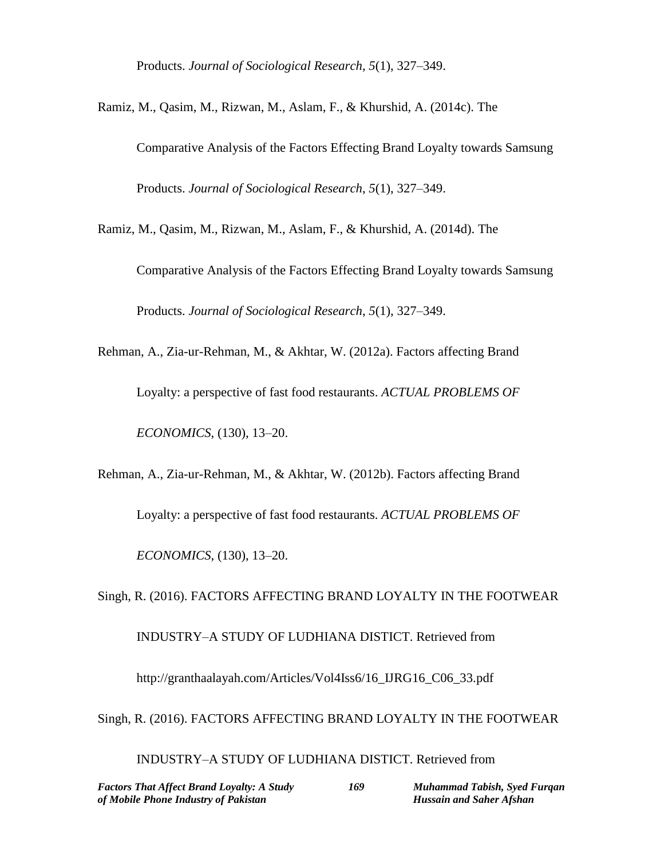Products. *Journal of Sociological Research*, *5*(1), 327–349.

Ramiz, M., Qasim, M., Rizwan, M., Aslam, F., & Khurshid, A. (2014c). The

Comparative Analysis of the Factors Effecting Brand Loyalty towards Samsung Products. *Journal of Sociological Research*, *5*(1), 327–349.

Ramiz, M., Qasim, M., Rizwan, M., Aslam, F., & Khurshid, A. (2014d). The

Comparative Analysis of the Factors Effecting Brand Loyalty towards Samsung Products. *Journal of Sociological Research*, *5*(1), 327–349.

Rehman, A., Zia-ur-Rehman, M., & Akhtar, W. (2012a). Factors affecting Brand Loyalty: a perspective of fast food restaurants. *ACTUAL PROBLEMS OF ECONOMICS*, (130), 13–20.

Rehman, A., Zia-ur-Rehman, M., & Akhtar, W. (2012b). Factors affecting Brand Loyalty: a perspective of fast food restaurants. *ACTUAL PROBLEMS OF ECONOMICS*, (130), 13–20.

Singh, R. (2016). FACTORS AFFECTING BRAND LOYALTY IN THE FOOTWEAR INDUSTRY–A STUDY OF LUDHIANA DISTICT. Retrieved from http://granthaalayah.com/Articles/Vol4Iss6/16\_IJRG16\_C06\_33.pdf Singh, R. (2016). FACTORS AFFECTING BRAND LOYALTY IN THE FOOTWEAR

INDUSTRY–A STUDY OF LUDHIANA DISTICT. Retrieved from

*Factors That Affect Brand Loyalty: A Study 169 Muhammad Tabish, Syed Furqan of Mobile Phone Industry of Pakistan* Hussain and Saher Afshan